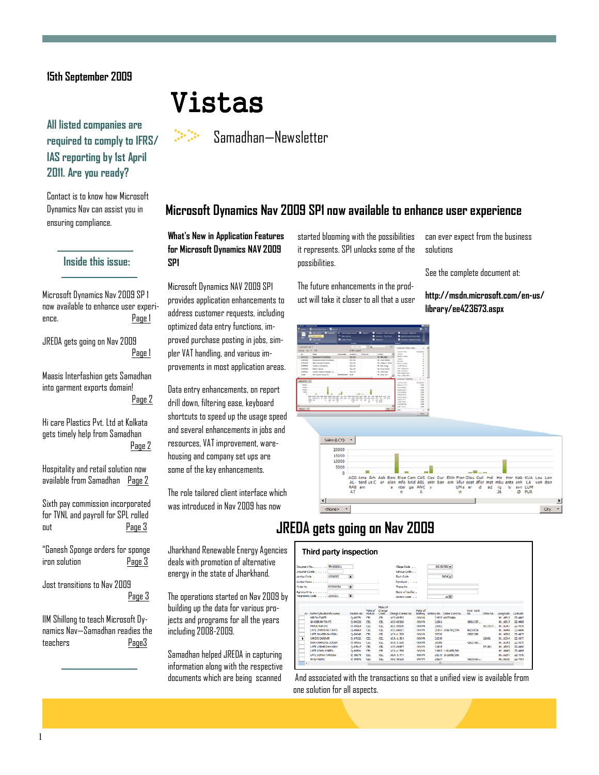## 15th September 2009

# All listed companies are required to comply to IFRS/ IAS reporting by 1st April 2011. Are you ready?

Contact is to know how Microsoft Dynamics Nav can assist you in ensuring compliance.

### Inside this issue:

Microsoft Dynamics Nav 2009 SP 1 now available to enhance user experience. Page 1

JREDA gets going on Nav 2009 Page 1

Maasis Interfashion gets Samadhan into garment exports domain! Page 2

Hi care Plastics Pvt. Ltd at Kolkata gets timely help from Samadhan Page 2

Hospitality and retail solution now available from Samadhan Page 2

Sixth pay commission incorporated for TVNL and payroll for SPL rolled out Page 3

"Ganesh Sponge orders for sponge iron solution Page 3

Jost transitions to Nav 2009 Page 3

IIM Shillong to teach Microsoft Dynamics Nav—Samadhan readies the teachers Page3

# Vistas

Samadhan—Newsletter

# Microsoft Dynamics Nav 2009 SP1 now available to enhance user experience

### What's New in Application Features for Microsoft Dynamics NAV 2009 SP1

Microsoft Dynamics NAV 2009 SP1 provides application enhancements to address customer requests, including optimized data entry functions, improved purchase posting in jobs, simpler VAT handling, and various improvements in most application areas.

Data entry enhancements, on report drill down, filtering ease, keyboard shortcuts to speed up the usage speed and several enhancements in jobs and resources, VAT improvement, warehousing and company set ups are some of the key enhancements.

The role tailored client interface which was introduced in Nav 2009 has now

Jharkhand Renewable Energy Agencies deals with promotion of alternative energy in the state of Jharkhand.

The operations started on Nav 2009 by building up the data for various projects and programs for all the years including 2008-2009.

Samadhan helped JREDA in capturing information along with the respective documents which are being scanned

started blooming with the possibilities it represents. SP1 unlocks some of the possibilities.

The future enhancements in the product will take it closer to all that a user



can ever expect from the business solutions

See the complete document at:

http://msdn.microsoft.com/en-us/ library/ee423673.aspx



# JREDA gets going on Nav 2009

|                                                                      |  | Deciment No. TR/000001                     |          |                       |                    |             | Village Code                    |                         |       | 03151700 +                                    |                 |           |                          |                                                                                                           |
|----------------------------------------------------------------------|--|--------------------------------------------|----------|-----------------------|--------------------|-------------|---------------------------------|-------------------------|-------|-----------------------------------------------|-----------------|-----------|--------------------------|-----------------------------------------------------------------------------------------------------------|
| Deciment Date 1, 1, 1, 1<br>$\blacksquare$<br>vonons.<br>Vendor Code |  |                                            |          |                       |                    | Census Code |                                 |                         |       |                                               |                 |           |                          |                                                                                                           |
|                                                                      |  |                                            |          |                       |                    | Flock Code  |                                 |                         |       | 0004 <sub>1</sub>                             |                 |           |                          |                                                                                                           |
|                                                                      |  | Vendor Name Library Library                |          |                       |                    |             | Fandwat                         |                         |       |                                               |                 |           |                          |                                                                                                           |
| Order No.                                                            |  |                                            | PCO00034 | T.                    |                    |             | Thank No.                       |                         |       |                                               |                 |           |                          |                                                                                                           |
|                                                                      |  | .                                          |          |                       |                    |             |                                 |                         |       |                                               |                 |           |                          |                                                                                                           |
|                                                                      |  | Agrement No. Louis List                    |          |                       |                    |             | Name of Verifier.               |                         |       |                                               |                 |           |                          |                                                                                                           |
| ቌ<br>Programme Code 3000001                                          |  |                                            |          |                       |                    |             | Dietrict Code.                  |                         |       | $\mathbb{R}$                                  |                 |           |                          |                                                                                                           |
|                                                                      |  |                                            |          |                       |                    |             |                                 |                         |       |                                               |                 |           |                          |                                                                                                           |
|                                                                      |  |                                            |          |                       | Make of            | Change      |                                 | Neke of                 |       |                                               | Voter Card      |           |                          |                                                                                                           |
|                                                                      |  | ev. Father's Husband's Name<br>NIRON TANTI |          | Nodule No.<br>0-88771 | <b>Module</b><br>œ | Chefr<br>Œ  | Charge Control No.<br>ACC-08533 | <b>Rattery</b><br>OKAYA |       | Battery No. Ration Card No.<br>21533 00072494 | Nh.             | Other No. | I nonit ide<br>86, 16512 |                                                                                                           |
|                                                                      |  | GHZSTEAM TANTT                             |          | 0-89222               | m                  | œ           | 10090510                        | OKAYA                   | 21561 |                                               | 0801357         |           | <b>RE 16517</b>          |                                                                                                           |
|                                                                      |  | MORA MANDED                                |          | 0-89058               | œ                  | œ           | ACC-09096                       | OKAYA                   | 21582 |                                               |                 | 1037814   | <b>86, 16387</b>         |                                                                                                           |
|                                                                      |  | <b>LATE DAMODAR TANTE</b>                  |          | 0-88950               | CFI                | Œ           | <b>ACC-09037</b>                | OKAYA                   |       | 20157 1089751/379                             | <b>BR/50/28</b> |           | <b>86.16486</b>          |                                                                                                           |
|                                                                      |  | LATE CHASTRAM KISKU                        |          | 0-89043               | m                  | œ           | ACA-11328                       | OKAYA                   | 20020 |                                               | CBG0388         |           | 86.16292                 |                                                                                                           |
| ٠                                                                    |  | CANDO SARDAR                               |          | 0.37626               | m                  | œ           | 104-11454                       | OKAYA                   | 21549 |                                               |                 | 12001     | <b>RE 16344</b>          |                                                                                                           |
|                                                                      |  | RAN CHANDRA SOREN                          |          | 0-88966               | œ                  | <b>CR</b>   | 104-11550                       | OKAYA                   | 20088 |                                               | GROUNDR.        |           | <b>86, 16381</b>         |                                                                                                           |
|                                                                      |  | LATE LODI-RO HANSDA                        |          | 0-87917               | <b>CEL</b>         | œ           | ACC-09937                       | <b>OKAYA</b>            | 21525 |                                               |                 | 371931    | \$6,16352                |                                                                                                           |
|                                                                      |  | LATE COMU SOREN                            |          | 0-89501               | <b>CEL</b>         | œ           | ACA-11338                       | <b>OKAYA</b>            |       | 21502 1191438/350                             |                 |           | 86.16492                 | Lathide<br>22.4997<br>774285<br>22.4978<br>22.4986<br>22.4075<br>22.4977<br>22.4979<br>22,4980<br>22,4988 |
|                                                                      |  | LATE SOMAY HANSDA                          |          | 0-88870               | œ                  | œ           | 308-11444                       | OKAYA                   |       | 21519 10328 10/330                            |                 |           | 86, 16297                | 22.4978                                                                                                   |

 And associated with the transactions so that a unified view is available from one solution for all aspects.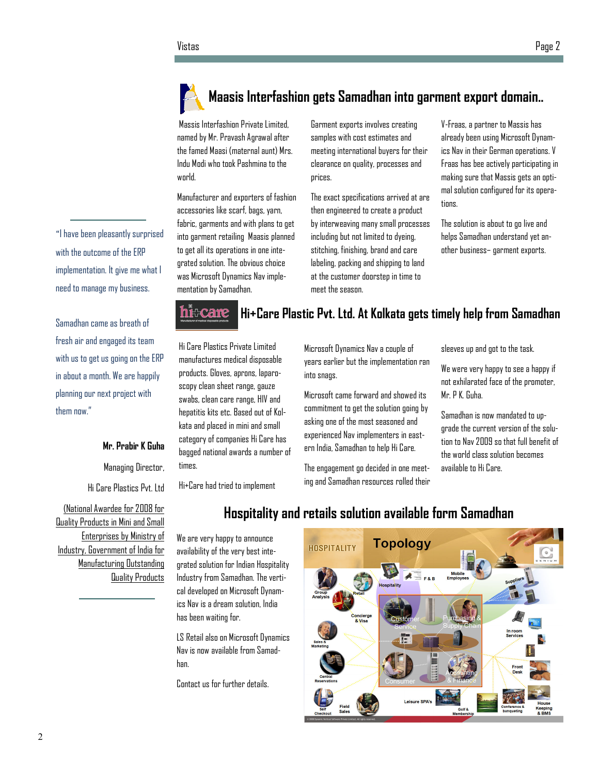



# Maasis Interfashion gets Samadhan into garment export domain..

 Massis Interfashion Private Limited, named by Mr. Pravash Agrawal after the famed Maasi (maternal aunt) Mrs. Indu Modi who took Pashmina to the world.

Manufacturer and exporters of fashion accessories like scarf, bags, yarn, fabric, garments and with plans to get into garment retailing Maasis planned to get all its operations in one integrated solution. The obvious choice was Microsoft Dynamics Nav implementation by Samadhan.

Garment exports involves creating samples with cost estimates and meeting international buyers for their clearance on quality, processes and prices.

The exact specifications arrived at are then engineered to create a product by interweaving many small processes including but not limited to dyeing, stitching, finishing, brand and care labeling, packing and shipping to land at the customer doorstep in time to meet the season.

V-Fraas, a partner to Massis has already been using Microsoft Dynamics Nav in their German operations. V Fraas has bee actively participating in making sure that Massis gets an optimal solution configured for its operations.

The solution is about to go live and helps Samadhan understand yet another business– garment exports.



# Hi+Care Plastic Pvt. Ltd. At Kolkata gets timely help from Samadhan

Hi Care Plastics Private Limited manufactures medical disposable products. Gloves, aprons, laparoscopy clean sheet range, gauze swabs, clean care range, HIV and hepatitis kits etc. Based out of Kolkata and placed in mini and small category of companies Hi Care has bagged national awards a number of times.

Hi+Care had tried to implement

We are very happy to announce availability of the very best integrated solution for Indian Hospitality Industry from Samadhan. The vertical developed on Microsoft Dynamics Nav is a dream solution, India

LS Retail also on Microsoft Dynamics Nav is now available from Samad-

Contact us for further details.

has been waiting for.

han.

Microsoft Dynamics Nav a couple of years earlier but the implementation ran into snags.

Microsoft came forward and showed its commitment to get the solution going by asking one of the most seasoned and experienced Nav implementers in eastern India, Samadhan to help Hi Care.

The engagement go decided in one meeting and Samadhan resources rolled their sleeves up and got to the task.

We were very happy to see a happy if not exhilarated face of the promoter, Mr. P K. Guha.

Samadhan is now mandated to upgrade the current version of the solution to Nav 2009 so that full benefit of the world class solution becomes available to Hi Care.

Hi Care Plastics Pvt. Ltd (National Awardee for 2008 for

Mr. Prabir K Guha

Managing Director,

Quality Products in Mini and Small Enterprises by Ministry of Industry, Government of India for Manufacturing Outstanding Quality Products

# Hospitality and retails solution available form Samadhan

**Topology HOSPITALITY** Concierge

with the outcome of the ERP implementation. It give me what I need to manage my business.

Samadhan came as breath of fresh air and engaged its team with us to get us going on the ERP in about a month. We are happily planning our next project with

them now."

"I have been pleasantly surprised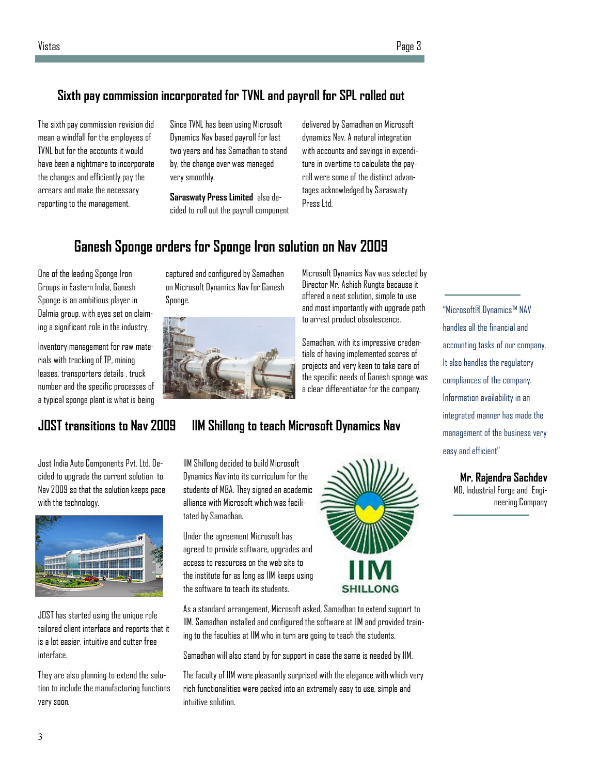# Sixth pay commission incorporated for TVNL and payroll for SPL rolled out

The sixth pay commission revision did mean a windfall for the employees of TVNL but for the accounts it would have been a nightmare to incorporate the changes and efficiently pay the arrears and make the necessary reporting to the management.

Since TVNL has been using Microsoft Dynamics Nav based payroll for last two years and has Samadhan to stand by, the change over was managed very smoothly.

Saraswaty Press Limited also decided to roll out the payroll component delivered by Samadhan on Microsoft dynamics Nav. A natural integration with accounts and savings in expenditure in overtime to calculate the payroll were some of the distinct advantages acknowledged by Saraswaty Press Ltd.

# Ganesh Sponge orders for Sponge Iron solution on Nav 2009

captured and configured by Samadhan on Microsoft Dynamics Nav for Ganesh

One of the leading Sponge Iron Groups in Eastern India, Ganesh Sponge is an ambitious player in Dalmia group, with eyes set on claiming a significant role in the industry.

Inventory management for raw materials with tracking of TP, mining leases, transporters details , truck number and the specific processes of a typical sponge plant is what is being

Jost India Auto Components Pvt. Ltd. Decided to upgrade the current solution to Nav 2009 so that the solution keeps pace

JOST has started using the unique role tailored client interface and reports that it is a lot easier, intuitive and cutter free

They are also planning to extend the solution to include the manufacturing functions

with the technology.

Sponge.

Microsoft Dynamics Nav was selected by Director Mr. Ashish Rungta because it offered a neat solution, simple to use and most importantly with upgrade path to arrest product obsolescence.

Samadhan, with its impressive credentials of having implemented scores of projects and very keen to take care of the specific needs of Ganesh sponge was a clear differentiator for the company.

# JOST transitions to Nav 2009 IIM Shillong to teach Microsoft Dynamics Nav

IIM Shillong decided to build Microsoft Dynamics Nav into its curriculum for the students of MBA. They signed an academic alliance with Microsoft which was facilitated by Samadhan.

Under the agreement Microsoft has agreed to provide software, upgrades and access to resources on the web site to the institute for as long as IIM keeps using the software to teach its students.

As a standard arrangement, Microsoft asked, Samadhan to extend support to IIM. Samadhan installed and configured the software at IIM and provided training to the faculties at IIM who in turn are going to teach the students.

Samadhan will also stand by for support in case the same is needed by IIM.

The faculty of IIM were pleasantly surprised with the elegance with which very rich functionalities were packed into an extremely easy to use, simple and intuitive solution.

"Microsoft® Dynamics™ NAV handles all the financial and accounting tasks of our company. It also handles the regulatory compliances of the company. Information availability in an integrated manner has made the management of the business very easy and efficient"

Mr. Rajendra Sachdev

MD, Industrial Forge and Engineering Company





interface.

very soon.